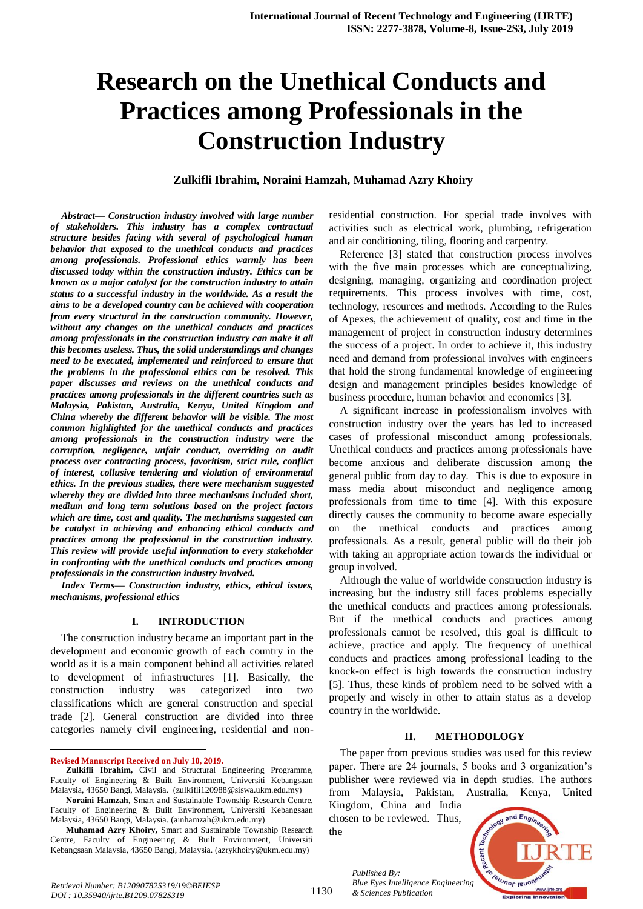# **Research on the Unethical Conducts and Practices among Professionals in the Construction Industry**

## **Zulkifli Ibrahim, Noraini Hamzah, Muhamad Azry Khoiry**

*Abstract— Construction industry involved with large number of stakeholders. This industry has a complex contractual structure besides facing with several of psychological human behavior that exposed to the unethical conducts and practices among professionals. Professional ethics warmly has been discussed today within the construction industry. Ethics can be known as a major catalyst for the construction industry to attain status to a successful industry in the worldwide. As a result the aims to be a developed country can be achieved with cooperation from every structural in the construction community. However, without any changes on the unethical conducts and practices among professionals in the construction industry can make it all this becomes useless. Thus, the solid understandings and changes need to be executed, implemented and reinforced to ensure that the problems in the professional ethics can be resolved. This paper discusses and reviews on the unethical conducts and practices among professionals in the different countries such as Malaysia, Pakistan, Australia, Kenya, United Kingdom and China whereby the different behavior will be visible. The most common highlighted for the unethical conducts and practices among professionals in the construction industry were the corruption, negligence, unfair conduct, overriding on audit process over contracting process, favoritism, strict rule, conflict of interest, collusive tendering and violation of environmental ethics. In the previous studies, there were mechanism suggested whereby they are divided into three mechanisms included short, medium and long term solutions based on the project factors which are time, cost and quality. The mechanisms suggested can be catalyst in achieving and enhancing ethical conducts and practices among the professional in the construction industry. This review will provide useful information to every stakeholder in confronting with the unethical conducts and practices among professionals in the construction industry involved.*

*Index Terms— Construction industry, ethics, ethical issues, mechanisms, professional ethics*

## **I. INTRODUCTION**

The construction industry became an important part in the development and economic growth of each country in the world as it is a main component behind all activities related to development of infrastructures [1]. Basically, the construction industry was categorized into two classifications which are general construction and special trade [2]. General construction are divided into three categories namely civil engineering, residential and non-

**Revised Manuscript Received on July 10, 2019.**

 $\ddot{\phantom{a}}$ 

residential construction. For special trade involves with activities such as electrical work, plumbing, refrigeration and air conditioning, tiling, flooring and carpentry.

Reference [3] stated that construction process involves with the five main processes which are conceptualizing. designing, managing, organizing and coordination project requirements. This process involves with time, cost, technology, resources and methods. According to the Rules of Apexes, the achievement of quality, cost and time in the management of project in construction industry determines the success of a project. In order to achieve it, this industry need and demand from professional involves with engineers that hold the strong fundamental knowledge of engineering design and management principles besides knowledge of business procedure, human behavior and economics [3].

A significant increase in professionalism involves with construction industry over the years has led to increased cases of professional misconduct among professionals. Unethical conducts and practices among professionals have become anxious and deliberate discussion among the general public from day to day. This is due to exposure in mass media about misconduct and negligence among professionals from time to time [4]. With this exposure directly causes the community to become aware especially on the unethical conducts and practices among professionals. As a result, general public will do their job with taking an appropriate action towards the individual or group involved.

Although the value of worldwide construction industry is increasing but the industry still faces problems especially the unethical conducts and practices among professionals. But if the unethical conducts and practices among professionals cannot be resolved, this goal is difficult to achieve, practice and apply. The frequency of unethical conducts and practices among professional leading to the knock-on effect is high towards the construction industry [5]. Thus, these kinds of problem need to be solved with a properly and wisely in other to attain status as a develop country in the worldwide.

#### **II. METHODOLOGY**

The paper from previous studies was used for this review paper. There are 24 journals, 5 books and 3 organization's publisher were reviewed via in depth studies. The authors from Malaysia, Pakistan, Australia, Kenya, United

Kingdom, China and India chosen to be reviewed. Thus, the



*Published By: Blue Eyes Intelligence Engineering & Sciences Publication* 

1130

**Zulkifli Ibrahim,** Civil and Structural Engineering Programme, Faculty of Engineering & Built Environment, Universiti Kebangsaan Malaysia, 43650 Bangi, Malaysia. (zulkifli120988@siswa.ukm.edu.my)

**Noraini Hamzah,** Smart and Sustainable Township Research Centre, Faculty of Engineering & Built Environment, Universiti Kebangsaan Malaysia, 43650 Bangi, Malaysia. (ainhamzah@ukm.edu.my)

**Muhamad Azry Khoiry,** Smart and Sustainable Township Research Centre, Faculty of Engineering & Built Environment, Universiti Kebangsaan Malaysia, 43650 Bangi, Malaysia. (azrykhoiry@ukm.edu.my)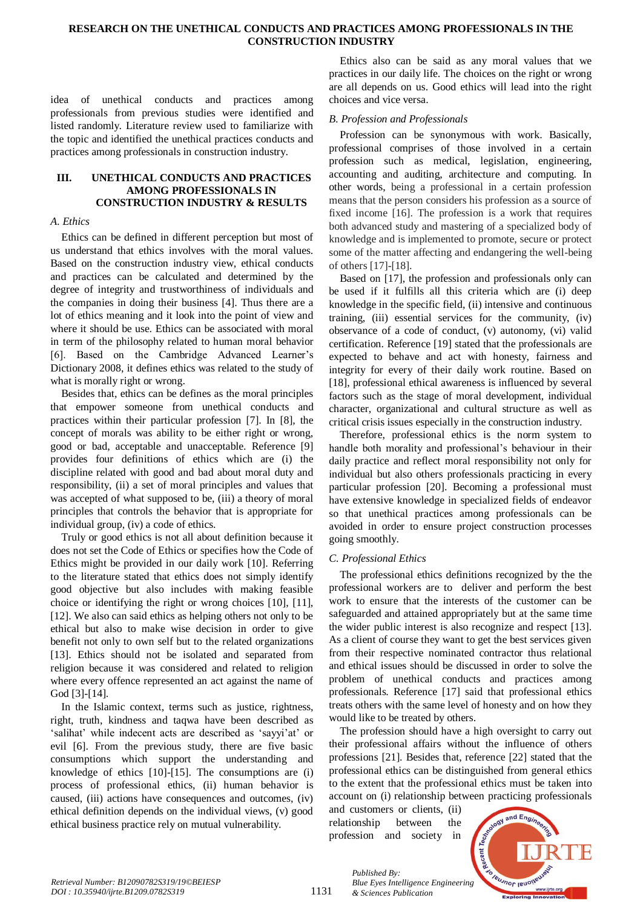## **RESEARCH ON THE UNETHICAL CONDUCTS AND PRACTICES AMONG PROFESSIONALS IN THE CONSTRUCTION INDUSTRY**

idea of unethical conducts and practices among professionals from previous studies were identified and listed randomly. Literature review used to familiarize with the topic and identified the unethical practices conducts and practices among professionals in construction industry.

# **III. UNETHICAL CONDUCTS AND PRACTICES AMONG PROFESSIONALS IN CONSTRUCTION INDUSTRY & RESULTS**

## *A. Ethics*

Ethics can be defined in different perception but most of us understand that ethics involves with the moral values. Based on the construction industry view, ethical conducts and practices can be calculated and determined by the degree of integrity and trustworthiness of individuals and the companies in doing their business [4]. Thus there are a lot of ethics meaning and it look into the point of view and where it should be use. Ethics can be associated with moral in term of the philosophy related to human moral behavior [6]. Based on the Cambridge Advanced Learner's Dictionary 2008, it defines ethics was related to the study of what is morally right or wrong.

Besides that, ethics can be defines as the moral principles that empower someone from unethical conducts and practices within their particular profession [7]. In [8], the concept of morals was ability to be either right or wrong, good or bad, acceptable and unacceptable. Reference [9] provides four definitions of ethics which are (i) the discipline related with good and bad about moral duty and responsibility, (ii) a set of moral principles and values that was accepted of what supposed to be, (iii) a theory of moral principles that controls the behavior that is appropriate for individual group, (iv) a code of ethics.

Truly or good ethics is not all about definition because it does not set the Code of Ethics or specifies how the Code of Ethics might be provided in our daily work [10]. Referring to the literature stated that ethics does not simply identify good objective but also includes with making feasible choice or identifying the right or wrong choices [10], [11], [12]. We also can said ethics as helping others not only to be ethical but also to make wise decision in order to give benefit not only to own self but to the related organizations [13]. Ethics should not be isolated and separated from religion because it was considered and related to religion where every offence represented an act against the name of God [3]-[14].

In the Islamic context, terms such as justice, rightness, right, truth, kindness and taqwa have been described as 'salihat' while indecent acts are described as 'sayyi'at' or evil [6]. From the previous study, there are five basic consumptions which support the understanding and knowledge of ethics [10]-[15]. The consumptions are (i) process of professional ethics, (ii) human behavior is caused, (iii) actions have consequences and outcomes, (iv) ethical definition depends on the individual views, (v) good ethical business practice rely on mutual vulnerability.

Ethics also can be said as any moral values that we practices in our daily life. The choices on the right or wrong are all depends on us. Good ethics will lead into the right choices and vice versa.

# *B. Profession and Professionals*

Profession can be synonymous with work. Basically, professional comprises of those involved in a certain profession such as medical, legislation, engineering, accounting and auditing, architecture and computing. In other words, being a professional in a certain profession means that the person considers his profession as a source of fixed income [16]. The profession is a work that requires both advanced study and mastering of a specialized body of knowledge and is implemented to promote, secure or protect some of the matter affecting and endangering the well-being of others [17]-[18].

Based on [17], the profession and professionals only can be used if it fulfills all this criteria which are (i) deep knowledge in the specific field, (ii) intensive and continuous training, (iii) essential services for the community, (iv) observance of a code of conduct, (v) autonomy, (vi) valid certification. Reference [19] stated that the professionals are expected to behave and act with honesty, fairness and integrity for every of their daily work routine. Based on [18], professional ethical awareness is influenced by several factors such as the stage of moral development, individual character, organizational and cultural structure as well as critical crisis issues especially in the construction industry.

Therefore, professional ethics is the norm system to handle both morality and professional's behaviour in their daily practice and reflect moral responsibility not only for individual but also others professionals practicing in every particular profession [20]. Becoming a professional must have extensive knowledge in specialized fields of endeavor so that unethical practices among professionals can be avoided in order to ensure project construction processes going smoothly.

# *C. Professional Ethics*

The professional ethics definitions recognized by the the professional workers are to deliver and perform the best work to ensure that the interests of the customer can be safeguarded and attained appropriately but at the same time the wider public interest is also recognize and respect [13]. As a client of course they want to get the best services given from their respective nominated contractor thus relational and ethical issues should be discussed in order to solve the problem of unethical conducts and practices among professionals. Reference [17] said that professional ethics treats others with the same level of honesty and on how they would like to be treated by others.

The profession should have a high oversight to carry out their professional affairs without the influence of others professions [21]. Besides that, reference [22] stated that the professional ethics can be distinguished from general ethics to the extent that the professional ethics must be taken into account on (i) relationship between practicing professionals

and customers or clients, (ii) relationship between the profession and society in

*& Sciences Publication* 

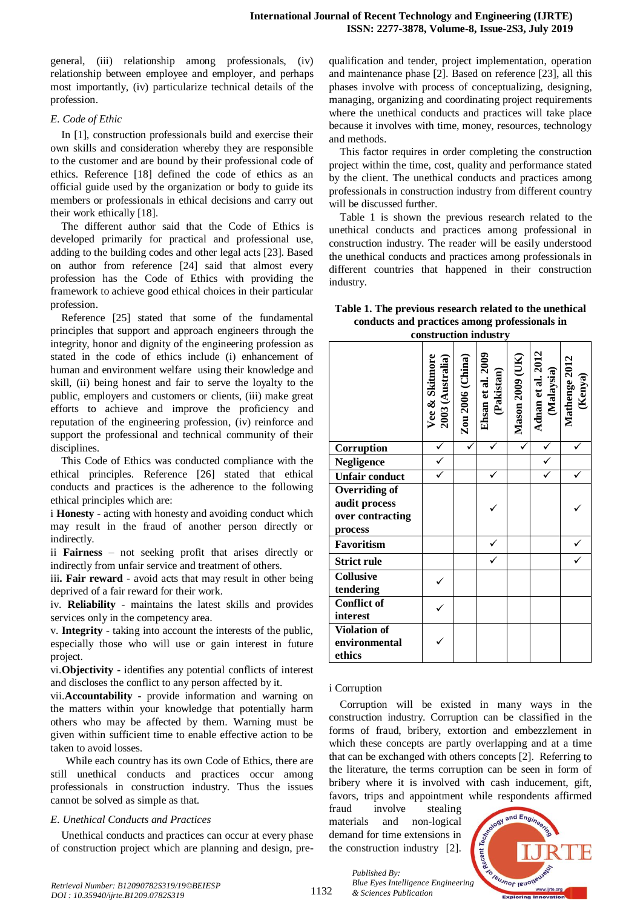general, (iii) relationship among professionals, (iv) relationship between employee and employer, and perhaps most importantly, (iv) particularize technical details of the profession.

## *E. Code of Ethic*

In [1], construction professionals build and exercise their own skills and consideration whereby they are responsible to the customer and are bound by their professional code of ethics. Reference [18] defined the code of ethics as an official guide used by the organization or body to guide its members or professionals in ethical decisions and carry out their work ethically [18].

The different author said that the Code of Ethics is developed primarily for practical and professional use, adding to the building codes and other legal acts [23]. Based on author from reference [24] said that almost every profession has the Code of Ethics with providing the framework to achieve good ethical choices in their particular profession.

Reference [25] stated that some of the fundamental principles that support and approach engineers through the integrity, honor and dignity of the engineering profession as stated in the code of ethics include (i) enhancement of human and environment welfare using their knowledge and skill, (ii) being honest and fair to serve the loyalty to the public, employers and customers or clients, (iii) make great efforts to achieve and improve the proficiency and reputation of the engineering profession, (iv) reinforce and support the professional and technical community of their disciplines.

This Code of Ethics was conducted compliance with the ethical principles. Reference [26] stated that ethical conducts and practices is the adherence to the following ethical principles which are:

i **Honesty** - acting with honesty and avoiding conduct which may result in the fraud of another person directly or indirectly.

ii **Fairness** – not seeking profit that arises directly or indirectly from unfair service and treatment of others.

iii**. Fair reward** - avoid acts that may result in other being deprived of a fair reward for their work.

iv. **Reliability** - maintains the latest skills and provides services only in the competency area.

v. **Integrity** - taking into account the interests of the public, especially those who will use or gain interest in future project.

vi.**Objectivity** - identifies any potential conflicts of interest and discloses the conflict to any person affected by it.

vii.**Accountability** - provide information and warning on the matters within your knowledge that potentially harm others who may be affected by them. Warning must be given within sufficient time to enable effective action to be taken to avoid losses.

While each country has its own Code of Ethics, there are still unethical conducts and practices occur among professionals in construction industry. Thus the issues cannot be solved as simple as that.

## *E. Unethical Conducts and Practices*

Unethical conducts and practices can occur at every phase of construction project which are planning and design, pre-

qualification and tender, project implementation, operation and maintenance phase [2]. Based on reference [23], all this phases involve with process of conceptualizing, designing, managing, organizing and coordinating project requirements where the unethical conducts and practices will take place because it involves with time, money, resources, technology and methods.

This factor requires in order completing the construction project within the time, cost, quality and performance stated by the client. The unethical conducts and practices among professionals in construction industry from different country will be discussed further.

Table 1 is shown the previous research related to the unethical conducts and practices among professional in construction industry. The reader will be easily understood the unethical conducts and practices among professionals in different countries that happened in their construction industry.

## **Table 1. The previous research related to the unethical conducts and practices among professionals in construction industry**

|                                                               | Vee & Skitmore<br>2003 (Australia) | Zou 2006 (China) | Ehsan et al. 2009<br>(Pakistan) | Mason 2009 (UK) | Adnan et al. 2012<br>(Malaysia) | Mathenge 2012<br>(Kenya) |
|---------------------------------------------------------------|------------------------------------|------------------|---------------------------------|-----------------|---------------------------------|--------------------------|
| Corruption                                                    |                                    |                  |                                 |                 |                                 |                          |
| <b>Negligence</b>                                             | $\checkmark$                       |                  |                                 |                 |                                 |                          |
| <b>Unfair conduct</b>                                         |                                    |                  |                                 |                 |                                 |                          |
| Overriding of<br>audit process<br>over contracting<br>process |                                    |                  |                                 |                 |                                 |                          |
| Favoritism                                                    |                                    |                  |                                 |                 |                                 |                          |
| <b>Strict rule</b>                                            |                                    |                  |                                 |                 |                                 |                          |
| <b>Collusive</b><br>tendering                                 |                                    |                  |                                 |                 |                                 |                          |
| <b>Conflict of</b><br>interest                                |                                    |                  |                                 |                 |                                 |                          |
| <b>Violation of</b><br>environmental<br>ethics                |                                    |                  |                                 |                 |                                 |                          |

## i Corruption

Corruption will be existed in many ways in the construction industry. Corruption can be classified in the forms of fraud, bribery, extortion and embezzlement in which these concepts are partly overlapping and at a time that can be exchanged with others concepts [2]. Referring to the literature, the terms corruption can be seen in form of bribery where it is involved with cash inducement, gift, favors, trips and appointment while respondents affirmed

fraud involve stealing materials and non-logical demand for time extensions in the construction industry [2].

*& Sciences Publication* 

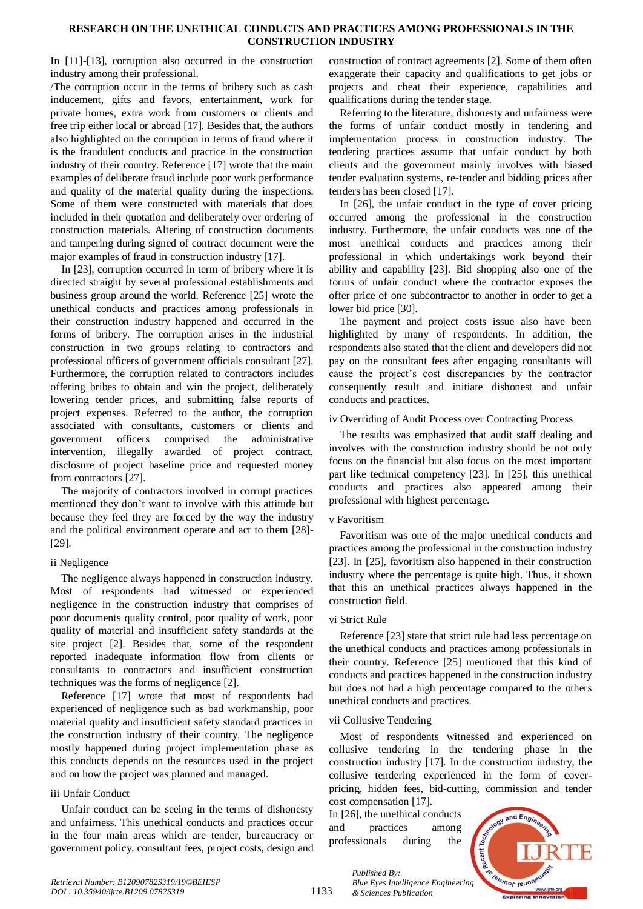## **RESEARCH ON THE UNETHICAL CONDUCTS AND PRACTICES AMONG PROFESSIONALS IN THE CONSTRUCTION INDUSTRY**

In [11]-[13], corruption also occurred in the construction industry among their professional.

/The corruption occur in the terms of bribery such as cash inducement, gifts and favors, entertainment, work for private homes, extra work from customers or clients and free trip either local or abroad [17]. Besides that, the authors also highlighted on the corruption in terms of fraud where it is the fraudulent conducts and practice in the construction industry of their country. Reference [17] wrote that the main examples of deliberate fraud include poor work performance and quality of the material quality during the inspections. Some of them were constructed with materials that does included in their quotation and deliberately over ordering of construction materials. Altering of construction documents and tampering during signed of contract document were the major examples of fraud in construction industry [17].

In [23], corruption occurred in term of bribery where it is directed straight by several professional establishments and business group around the world. Reference [25] wrote the unethical conducts and practices among professionals in their construction industry happened and occurred in the forms of bribery. The corruption arises in the industrial construction in two groups relating to contractors and professional officers of government officials consultant [27]. Furthermore, the corruption related to contractors includes offering bribes to obtain and win the project, deliberately lowering tender prices, and submitting false reports of project expenses. Referred to the author, the corruption associated with consultants, customers or clients and government officers comprised the administrative intervention, illegally awarded of project contract, disclosure of project baseline price and requested money from contractors [27].

The majority of contractors involved in corrupt practices mentioned they don't want to involve with this attitude but because they feel they are forced by the way the industry and the political environment operate and act to them [28]- [29].

# ii Negligence

The negligence always happened in construction industry. Most of respondents had witnessed or experienced negligence in the construction industry that comprises of poor documents quality control, poor quality of work, poor quality of material and insufficient safety standards at the site project [2]. Besides that, some of the respondent reported inadequate information flow from clients or consultants to contractors and insufficient construction techniques was the forms of negligence [2].

Reference [17] wrote that most of respondents had experienced of negligence such as bad workmanship, poor material quality and insufficient safety standard practices in the construction industry of their country. The negligence mostly happened during project implementation phase as this conducts depends on the resources used in the project and on how the project was planned and managed.

# iii Unfair Conduct

Unfair conduct can be seeing in the terms of dishonesty and unfairness. This unethical conducts and practices occur in the four main areas which are tender, bureaucracy or government policy, consultant fees, project costs, design and construction of contract agreements [2]. Some of them often exaggerate their capacity and qualifications to get jobs or projects and cheat their experience, capabilities and qualifications during the tender stage.

Referring to the literature, dishonesty and unfairness were the forms of unfair conduct mostly in tendering and implementation process in construction industry. The tendering practices assume that unfair conduct by both clients and the government mainly involves with biased tender evaluation systems, re-tender and bidding prices after tenders has been closed [17].

In [26], the unfair conduct in the type of cover pricing occurred among the professional in the construction industry. Furthermore, the unfair conducts was one of the most unethical conducts and practices among their professional in which undertakings work beyond their ability and capability [23]. Bid shopping also one of the forms of unfair conduct where the contractor exposes the offer price of one subcontractor to another in order to get a lower bid price [30].

The payment and project costs issue also have been highlighted by many of respondents. In addition, the respondents also stated that the client and developers did not pay on the consultant fees after engaging consultants will cause the project's cost discrepancies by the contractor consequently result and initiate dishonest and unfair conducts and practices.

# iv Overriding of Audit Process over Contracting Process

The results was emphasized that audit staff dealing and involves with the construction industry should be not only focus on the financial but also focus on the most important part like technical competency [23]. In [25], this unethical conducts and practices also appeared among their professional with highest percentage.

# v Favoritism

Favoritism was one of the major unethical conducts and practices among the professional in the construction industry [23]. In [25], favoritism also happened in their construction industry where the percentage is quite high. Thus, it shown that this an unethical practices always happened in the construction field.

# vi Strict Rule

Reference [23] state that strict rule had less percentage on the unethical conducts and practices among professionals in their country. Reference [25] mentioned that this kind of conducts and practices happened in the construction industry but does not had a high percentage compared to the others unethical conducts and practices.

# vii Collusive Tendering

Most of respondents witnessed and experienced on collusive tendering in the tendering phase in the construction industry [17]. In the construction industry, the collusive tendering experienced in the form of coverpricing, hidden fees, bid-cutting, commission and tender cost compensation [17].

In [26], the unethical conducts and practices among professionals during the

*& Sciences Publication* 

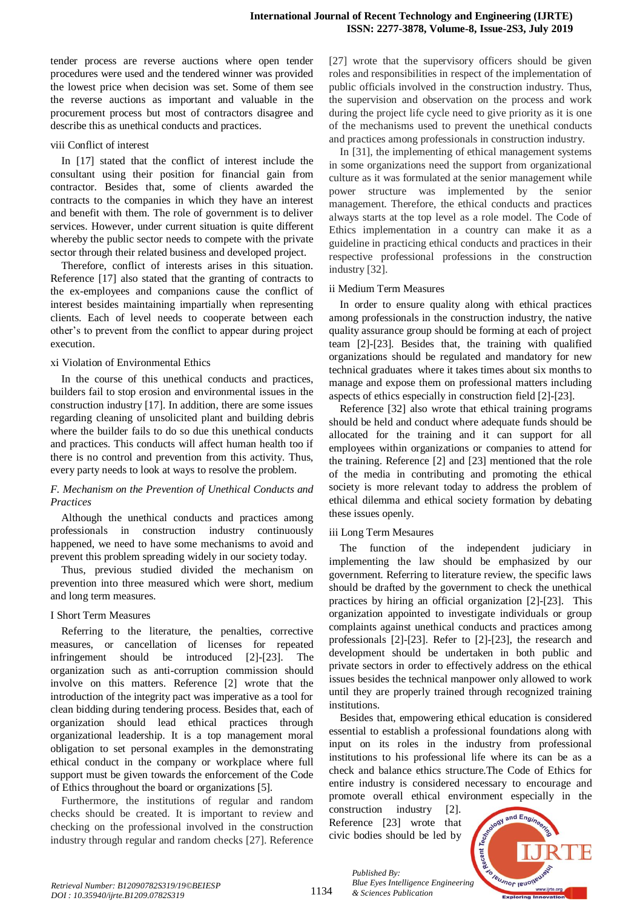tender process are reverse auctions where open tender procedures were used and the tendered winner was provided the lowest price when decision was set. Some of them see the reverse auctions as important and valuable in the procurement process but most of contractors disagree and describe this as unethical conducts and practices.

## viii Conflict of interest

In [17] stated that the conflict of interest include the consultant using their position for financial gain from contractor. Besides that, some of clients awarded the contracts to the companies in which they have an interest and benefit with them. The role of government is to deliver services. However, under current situation is quite different whereby the public sector needs to compete with the private sector through their related business and developed project.

Therefore, conflict of interests arises in this situation. Reference [17] also stated that the granting of contracts to the ex-employees and companions cause the conflict of interest besides maintaining impartially when representing clients. Each of level needs to cooperate between each other's to prevent from the conflict to appear during project execution.

# xi Violation of Environmental Ethics

In the course of this unethical conducts and practices, builders fail to stop erosion and environmental issues in the construction industry [17]. In addition, there are some issues regarding cleaning of unsolicited plant and building debris where the builder fails to do so due this unethical conducts and practices. This conducts will affect human health too if there is no control and prevention from this activity. Thus, every party needs to look at ways to resolve the problem.

# *F. Mechanism on the Prevention of Unethical Conducts and Practices*

Although the unethical conducts and practices among professionals in construction industry continuously happened, we need to have some mechanisms to avoid and prevent this problem spreading widely in our society today.

Thus, previous studied divided the mechanism on prevention into three measured which were short, medium and long term measures.

# I Short Term Measures

Referring to the literature, the penalties, corrective measures, or cancellation of licenses for repeated infringement should be introduced [2]-[23]. The organization such as anti-corruption commission should involve on this matters. Reference [2] wrote that the introduction of the integrity pact was imperative as a tool for clean bidding during tendering process. Besides that, each of organization should lead ethical practices through organizational leadership. It is a top management moral obligation to set personal examples in the demonstrating ethical conduct in the company or workplace where full support must be given towards the enforcement of the Code of Ethics throughout the board or organizations [5].

Furthermore, the institutions of regular and random checks should be created. It is important to review and checking on the professional involved in the construction industry through regular and random checks [27]. Reference

[27] wrote that the supervisory officers should be given roles and responsibilities in respect of the implementation of public officials involved in the construction industry. Thus, the supervision and observation on the process and work during the project life cycle need to give priority as it is one of the mechanisms used to prevent the unethical conducts and practices among professionals in construction industry.

In [31], the implementing of ethical management systems in some organizations need the support from organizational culture as it was formulated at the senior management while power structure was implemented by the senior management. Therefore, the ethical conducts and practices always starts at the top level as a role model. The Code of Ethics implementation in a country can make it as a guideline in practicing ethical conducts and practices in their respective professional professions in the construction industry [32].

## ii Medium Term Measures

In order to ensure quality along with ethical practices among professionals in the construction industry, the native quality assurance group should be forming at each of project team [2]-[23]. Besides that, the training with qualified organizations should be regulated and mandatory for new technical graduates where it takes times about six months to manage and expose them on professional matters including aspects of ethics especially in construction field [2]-[23].

Reference [32] also wrote that ethical training programs should be held and conduct where adequate funds should be allocated for the training and it can support for all employees within organizations or companies to attend for the training. Reference [2] and [23] mentioned that the role of the media in contributing and promoting the ethical society is more relevant today to address the problem of ethical dilemma and ethical society formation by debating these issues openly.

# iii Long Term Mesaures

The function of the independent judiciary in implementing the law should be emphasized by our government. Referring to literature review, the specific laws should be drafted by the government to check the unethical practices by hiring an official organization [2]-[23]. This organization appointed to investigate individuals or group complaints against unethical conducts and practices among professionals [2]-[23]. Refer to [2]-[23], the research and development should be undertaken in both public and private sectors in order to effectively address on the ethical issues besides the technical manpower only allowed to work until they are properly trained through recognized training institutions.

Besides that, empowering ethical education is considered essential to establish a professional foundations along with input on its roles in the industry from professional institutions to his professional life where its can be as a check and balance ethics structure.The Code of Ethics for entire industry is considered necessary to encourage and promote overall ethical environment especially in the

construction industry [2]. Reference [23] wrote that civic bodies should be led by

*& Sciences Publication* 

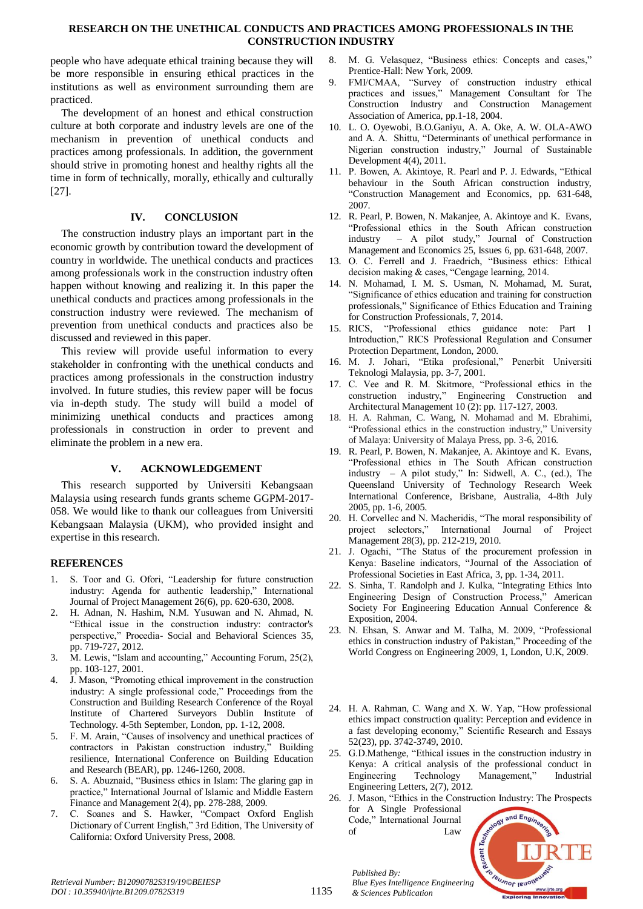# **RESEARCH ON THE UNETHICAL CONDUCTS AND PRACTICES AMONG PROFESSIONALS IN THE CONSTRUCTION INDUSTRY**

people who have adequate ethical training because they will be more responsible in ensuring ethical practices in the institutions as well as environment surrounding them are practiced.

The development of an honest and ethical construction culture at both corporate and industry levels are one of the mechanism in prevention of unethical conducts and practices among professionals. In addition, the government should strive in promoting honest and healthy rights all the time in form of technically, morally, ethically and culturally [27].

# **IV. CONCLUSION**

The construction industry plays an important part in the economic growth by contribution toward the development of country in worldwide. The unethical conducts and practices among professionals work in the construction industry often happen without knowing and realizing it. In this paper the unethical conducts and practices among professionals in the construction industry were reviewed. The mechanism of prevention from unethical conducts and practices also be discussed and reviewed in this paper.

This review will provide useful information to every stakeholder in confronting with the unethical conducts and practices among professionals in the construction industry involved. In future studies, this review paper will be focus via in-depth study. The study will build a model of minimizing unethical conducts and practices among professionals in construction in order to prevent and eliminate the problem in a new era.

# **V. ACKNOWLEDGEMENT**

This research supported by Universiti Kebangsaan Malaysia using research funds grants scheme GGPM-2017- 058. We would like to thank our colleagues from Universiti Kebangsaan Malaysia (UKM), who provided insight and expertise in this research.

# **REFERENCES**

- 1. S. Toor and G. Ofori, "Leadership for future construction industry: Agenda for authentic leadership," International Journal of Project Management 26(6), pp. 620-630, 2008.
- 2. H. Adnan, N. Hashim, N.M. Yusuwan and N. Ahmad, N. "Ethical issue in the construction industry: contractor's perspective," Procedia- Social and Behavioral Sciences 35, pp. 719-727, 2012.
- 3. M. Lewis, "Islam and accounting," Accounting Forum, 25(2), pp. 103-127, 2001.
- 4. J. Mason, "Promoting ethical improvement in the construction industry: A single professional code," Proceedings from the Construction and Building Research Conference of the Royal Institute of Chartered Surveyors Dublin Institute of Technology. 4-5th September, London, pp. 1-12, 2008.
- 5. F. M. Arain, "Causes of insolvency and unethical practices of contractors in Pakistan construction industry," Building resilience, International Conference on Building Education and Research (BEAR), pp. 1246-1260, 2008.
- 6. S. A. Abuznaid, "Business ethics in Islam: The glaring gap in practice," International Journal of Islamic and Middle Eastern Finance and Management 2(4), pp. 278-288, 2009.
- 7. C. Soanes and S. Hawker, "Compact Oxford English Dictionary of Current English," 3rd Edition, The University of California: Oxford University Press, 2008.
- 8. M. G. Velasquez, "Business ethics: Concepts and cases," Prentice-Hall: New York, 2009.
- 9. FMI/CMAA, "Survey of construction industry ethical practices and issues," Management Consultant for The Construction Industry and Construction Management Association of America, pp.1-18, 2004.
- 10. L. O. Oyewobi, B.O.Ganiyu, A. A. Oke, A. W. OLA-AWO and A. A. Shittu, "Determinants of unethical performance in Nigerian construction industry," Journal of Sustainable Development 4(4), 2011.
- 11. P. Bowen, A. Akintoye, R. Pearl and P. J. Edwards, "Ethical behaviour in the South African construction industry, "Construction Management and Economics, pp. 631-648, 2007.
- 12. R. Pearl, P. Bowen, N. Makanjee, A. Akintoye and K. Evans, "Professional ethics in the South African construction industry – A pilot study," Journal of Construction Management and Economics 25, Issues 6, pp. 631-648, 2007.
- 13. O. C. Ferrell and J. Fraedrich, "Business ethics: Ethical decision making & cases, "Cengage learning, 2014.
- 14. N. Mohamad, I. M. S. Usman, N. Mohamad, M. Surat, "Significance of ethics education and training for construction professionals," Significance of Ethics Education and Training for Construction Professionals, 7, 2014.
- 15. RICS, "Professional ethics guidance note: Part 1 Introduction," RICS Professional Regulation and Consumer Protection Department, London, 2000.
- 16. M. J. Johari, "Etika profesional," Penerbit Universiti Teknologi Malaysia, pp. 3-7, 2001.
- 17. C. Vee and R. M. Skitmore, "Professional ethics in the construction industry," Engineering Construction and Architectural Management 10 (2): pp. 117-127, 2003.
- 18. H. A. Rahman, C. Wang, N. Mohamad and M. Ebrahimi, "Professional ethics in the construction industry," University of Malaya: University of Malaya Press, pp. 3-6, 2016.
- 19. R. Pearl, P. Bowen, N. Makanjee, A. Akintoye and K. Evans, "Professional ethics in The South African construction industry – A pilot study," In: Sidwell, A. C., (ed.), The Queensland University of Technology Research Week International Conference, Brisbane, Australia, 4-8th July 2005, pp. 1-6, 2005.
- 20. H. Corvellec and N. Macheridis, "The moral responsibility of project selectors," International Journal of Project Management 28(3), pp. 212-219, 2010.
- 21. J. Ogachi, "The Status of the procurement profession in Kenya: Baseline indicators, "Journal of the Association of Professional Societies in East Africa, 3, pp. 1-34, 2011.
- 22. S. Sinha, T. Randolph and J. Kulka, "Integrating Ethics Into Engineering Design of Construction Process," American Society For Engineering Education Annual Conference & Exposition, 2004.
- 23. N. Ehsan, S. Anwar and M. Talha, M. 2009, "Professional ethics in construction industry of Pakistan," Proceeding of the World Congress on Engineering 2009, 1, London, U.K, 2009.
- 24. H. A. Rahman, C. Wang and X. W. Yap, "How professional ethics impact construction quality: Perception and evidence in a fast developing economy," Scientific Research and Essays 52(23), pp. 3742-3749, 2010.
- 25. G.D.Mathenge, "Ethical issues in the construction industry in Kenya: A critical analysis of the professional conduct in Engineering Technology Management," Industrial Engineering Letters, 2(7), 2012.
- 26. J. Mason, "Ethics in the Construction Industry: The Prospects for A Single Professional Code," International Journal



*Published By:*

*& Sciences Publication* 

of Law